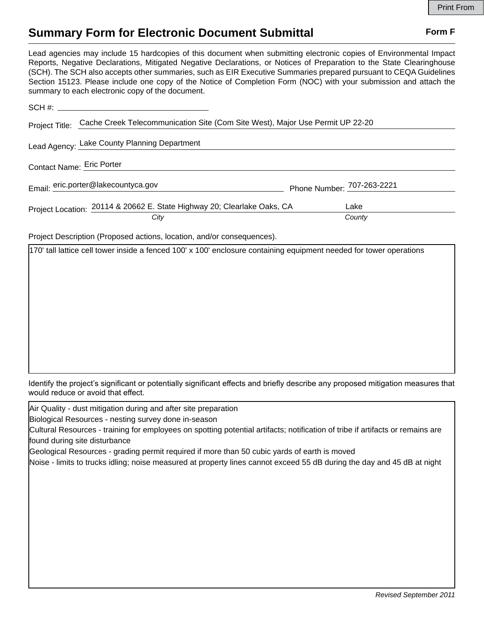## **Summary Form for Electronic Document Submittal Form F Form F**

Lead agencies may include 15 hardcopies of this document when submitting electronic copies of Environmental Impact Reports, Negative Declarations, Mitigated Negative Declarations, or Notices of Preparation to the State Clearinghouse (SCH). The SCH also accepts other summaries, such as EIR Executive Summaries prepared pursuant to CEQA Guidelines Section 15123. Please include one copy of the Notice of Completion Form (NOC) with your submission and attach the summary to each electronic copy of the document.

| Project Title: Cache Creek Telecommunication Site (Com Site West), Major Use Permit UP 22-20 |                            |
|----------------------------------------------------------------------------------------------|----------------------------|
| Lead Agency: Lake County Planning Department                                                 |                            |
| Contact Name: Eric Porter                                                                    |                            |
| Email: eric.porter@lakecountyca.gov                                                          | Phone Number: 707-263-2221 |
| Project Location: 20114 & 20662 E. State Highway 20; Clearlake Oaks, CA                      | Lake                       |
| City                                                                                         | County                     |

Project Description (Proposed actions, location, and/or consequences).

170' tall lattice cell tower inside a fenced 100' x 100' enclosure containing equipment needed for tower operations

Identify the project's significant or potentially significant effects and briefly describe any proposed mitigation measures that would reduce or avoid that effect.

Air Quality - dust mitigation during and after site preparation

Biological Resources - nesting survey done in-season

Cultural Resources - training for employees on spotting potential artifacts; notification of tribe if artifacts or remains are found during site disturbance

Geological Resources - grading permit required if more than 50 cubic yards of earth is moved

Noise - limits to trucks idling; noise measured at property lines cannot exceed 55 dB during the day and 45 dB at night